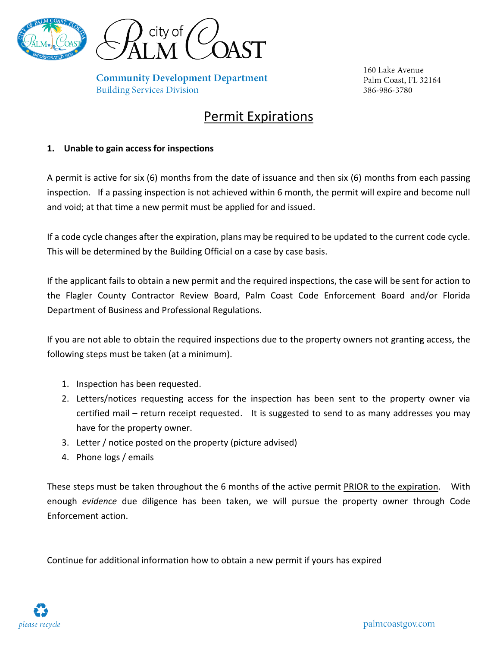

**Community Development Department Building Services Division** 

160 Lake Avenue Palm Coast, FL 32164 386-986-3780

## Permit Expirations

## **1. Unable to gain access for inspections**

A permit is active for six (6) months from the date of issuance and then six (6) months from each passing inspection. If a passing inspection is not achieved within 6 month, the permit will expire and become null and void; at that time a new permit must be applied for and issued.

If a code cycle changes after the expiration, plans may be required to be updated to the current code cycle. This will be determined by the Building Official on a case by case basis.

If the applicant fails to obtain a new permit and the required inspections, the case will be sent for action to the Flagler County Contractor Review Board, Palm Coast Code Enforcement Board and/or Florida Department of Business and Professional Regulations.

If you are not able to obtain the required inspections due to the property owners not granting access, the following steps must be taken (at a minimum).

- 1. Inspection has been requested.
- 2. Letters/notices requesting access for the inspection has been sent to the property owner via certified mail – return receipt requested. It is suggested to send to as many addresses you may have for the property owner.
- 3. Letter / notice posted on the property (picture advised)
- 4. Phone logs / emails

These steps must be taken throughout the 6 months of the active permit **PRIOR to the expiration**. With enough *evidence* due diligence has been taken, we will pursue the property owner through Code Enforcement action.

Continue for additional information how to obtain a new permit if yours has expired